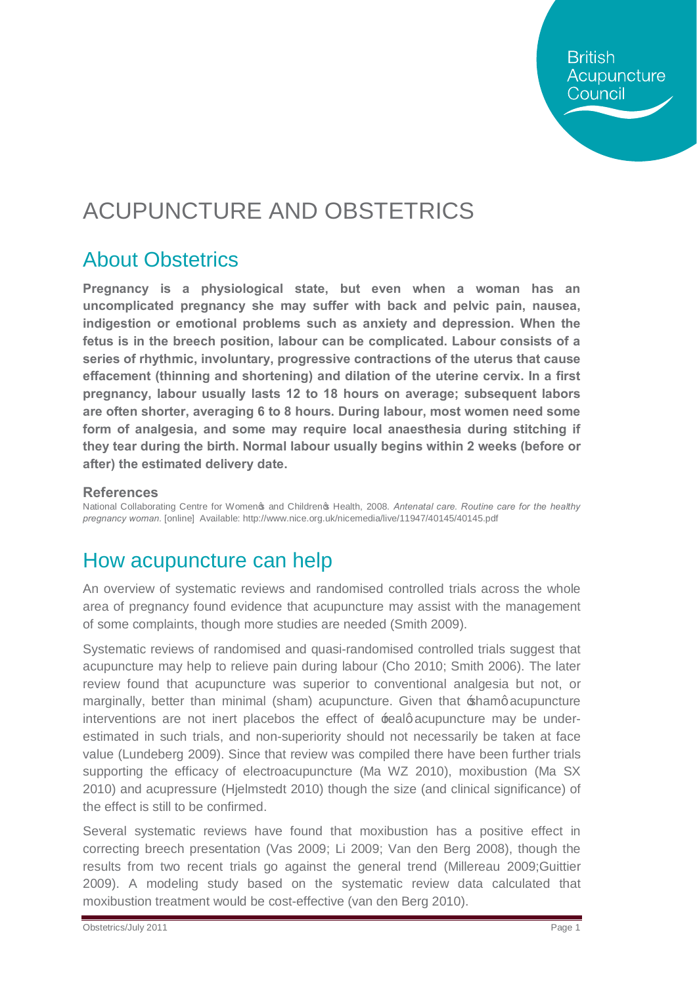**British** Acupuncture Council

# ACUPUNCTURE AND OBSTETRICS

## About Obstetrics

**Pregnancy is a physiological state, but even when a woman has an uncomplicated pregnancy she may suffer with back and pelvic pain, nausea, indigestion or emotional problems such as anxiety and depression. When the fetus is in the breech position, labour can be complicated. Labour consists of a series of rhythmic, involuntary, progressive contractions of the uterus that cause effacement (thinning and shortening) and dilation of the uterine cervix. In a first pregnancy, labour usually lasts 12 to 18 hours on average; subsequent labors are often shorter, averaging 6 to 8 hours. During labour, most women need some form of analgesia, and some may require local anaesthesia during stitching if they tear during the birth. Normal labour usually begins within 2 weeks (before or after) the estimated delivery date.** 

#### **References**

National Collaborating Centre for Women& and Children& Health, 2008. Antenatal care. Routine care for the healthy *pregnancy woman.* [online] Available: http://www.nice.org.uk/nicemedia/live/11947/40145/40145.pdf

#### How acupuncture can help

An overview of systematic reviews and randomised controlled trials across the whole area of pregnancy found evidence that acupuncture may assist with the management of some complaints, though more studies are needed (Smith 2009).

Systematic reviews of randomised and quasi-randomised controlled trials suggest that acupuncture may help to relieve pain during labour (Cho 2010; Smith 2006). The later review found that acupuncture was superior to conventional analgesia but not, or marginally, better than minimal (sham) acupuncture. Given that  $\pm$ shamg acupuncture interventions are not inert placebos the effect of  $\pm$ ealg acupuncture may be underestimated in such trials, and non-superiority should not necessarily be taken at face value (Lundeberg 2009). Since that review was compiled there have been further trials supporting the efficacy of electroacupuncture (Ma WZ 2010), moxibustion (Ma SX 2010) and acupressure (Hjelmstedt 2010) though the size (and clinical significance) of the effect is still to be confirmed.

Several systematic reviews have found that moxibustion has a positive effect in correcting breech presentation (Vas 2009; Li 2009; Van den Berg 2008), though the results from two recent trials go against the general trend (Millereau 2009;Guittier 2009). A modeling study based on the systematic review data calculated that moxibustion treatment would be cost-effective (van den Berg 2010).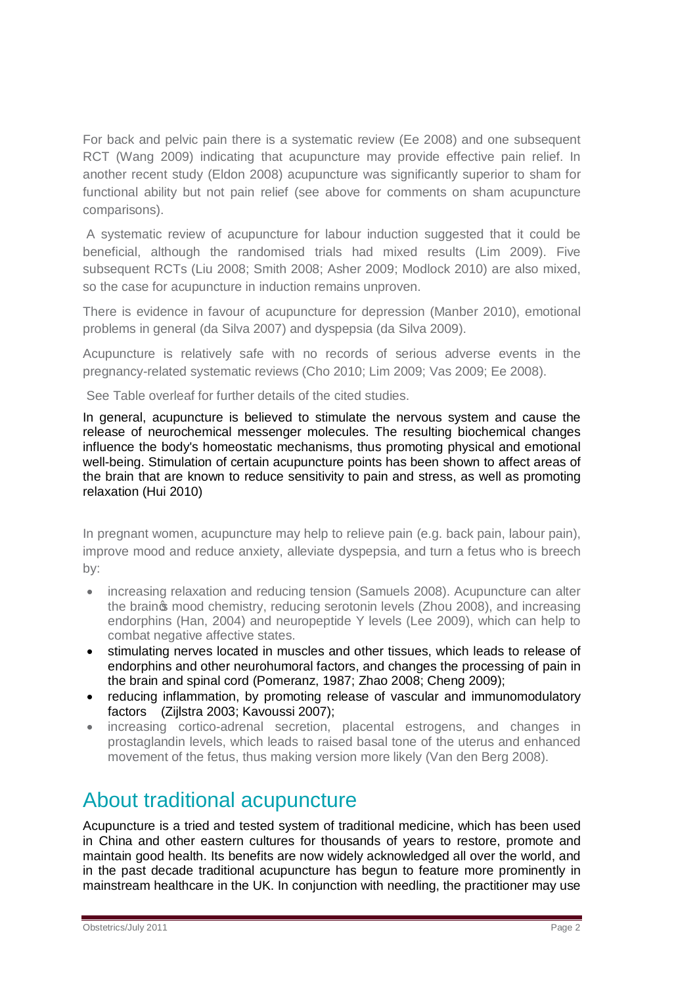For back and pelvic pain there is a systematic review (Ee 2008) and one subsequent RCT (Wang 2009) indicating that acupuncture may provide effective pain relief. In another recent study (Eldon 2008) acupuncture was significantly superior to sham for functional ability but not pain relief (see above for comments on sham acupuncture comparisons).

A systematic review of acupuncture for labour induction suggested that it could be beneficial, although the randomised trials had mixed results (Lim 2009). Five subsequent RCTs (Liu 2008; Smith 2008; Asher 2009; Modlock 2010) are also mixed, so the case for acupuncture in induction remains unproven.

There is evidence in favour of acupuncture for depression (Manber 2010), emotional problems in general (da Silva 2007) and dyspepsia (da Silva 2009).

Acupuncture is relatively safe with no records of serious adverse events in the pregnancy-related systematic reviews (Cho 2010; Lim 2009; Vas 2009; Ee 2008).

See Table overleaf for further details of the cited studies.

In general, acupuncture is believed to stimulate the nervous system and cause the release of neurochemical messenger molecules. The resulting biochemical changes influence the body's homeostatic mechanisms, thus promoting physical and emotional well-being. Stimulation of certain acupuncture points has been shown to affect areas of the brain that are known to reduce sensitivity to pain and stress, as well as promoting relaxation (Hui 2010)

In pregnant women, acupuncture may help to relieve pain (e.g. back pain, labour pain), improve mood and reduce anxiety, alleviate dyspepsia, and turn a fetus who is breech by:

- · increasing relaxation and reducing tension (Samuels 2008). Acupuncture can alter the braing mood chemistry, reducing serotonin levels (Zhou 2008), and increasing endorphins (Han, 2004) and neuropeptide Y levels (Lee 2009), which can help to combat negative affective states.
- · stimulating nerves located in muscles and other tissues, which leads to release of endorphins and other neurohumoral factors, and changes the processing of pain in the brain and spinal cord (Pomeranz, 1987; Zhao 2008; Cheng 2009);
- · reducing inflammation, by promoting release of vascular and immunomodulatory factors (Zijlstra 2003; Kavoussi 2007);
- · increasing cortico-adrenal secretion, placental estrogens, and changes in prostaglandin levels, which leads to raised basal tone of the uterus and enhanced movement of the fetus, thus making version more likely (Van den Berg 2008).

#### About traditional acupuncture

Acupuncture is a tried and tested system of traditional medicine, which has been used in China and other eastern cultures for thousands of years to restore, promote and maintain good health. Its benefits are now widely acknowledged all over the world, and in the past decade traditional acupuncture has begun to feature more prominently in mainstream healthcare in the UK. In conjunction with needling, the practitioner may use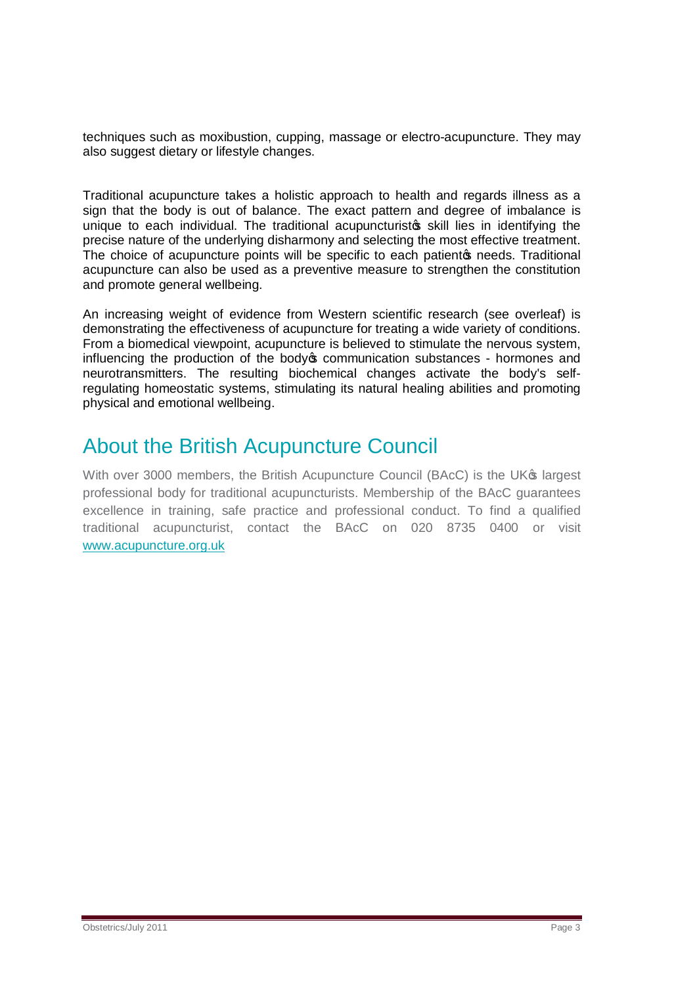techniques such as moxibustion, cupping, massage or electro-acupuncture. They may also suggest dietary or lifestyle changes.

Traditional acupuncture takes a holistic approach to health and regards illness as a sign that the body is out of balance. The exact pattern and degree of imbalance is unique to each individual. The traditional acupuncturisto skill lies in identifying the precise nature of the underlying disharmony and selecting the most effective treatment. The choice of acupuncture points will be specific to each patiento needs. Traditional acupuncture can also be used as a preventive measure to strengthen the constitution and promote general wellbeing.

An increasing weight of evidence from Western scientific research (see overleaf) is demonstrating the effectiveness of acupuncture for treating a wide variety of conditions. From a biomedical viewpoint, acupuncture is believed to stimulate the nervous system, influencing the production of the body of communication substances - hormones and neurotransmitters. The resulting biochemical changes activate the body's selfregulating homeostatic systems, stimulating its natural healing abilities and promoting physical and emotional wellbeing.

## About the British Acupuncture Council

With over 3000 members, the British Acupuncture Council (BAcC) is the UK<sup>®</sup> largest professional body for traditional acupuncturists. Membership of the BAcC guarantees excellence in training, safe practice and professional conduct. To find a qualified traditional acupuncturist, contact the BAcC on 020 8735 0400 or visit [www.acupuncture.org.uk](http://www.acupuncture.org.uk/)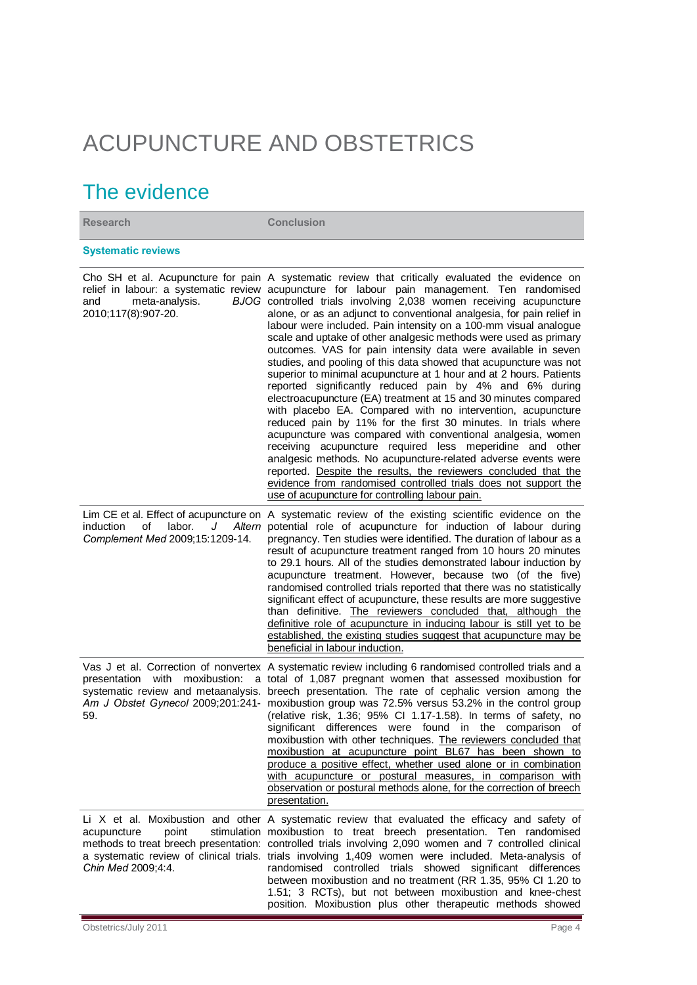# ACUPUNCTURE AND OBSTETRICS

## The evidence

**Research Conclusion Systematic reviews**  Cho SH et al. Acupuncture for pain A systematic review that critically evaluated the evidence on relief in labour: a systematic review acupuncture for labour pain management. Ten randomised and meta-analysis. 2010;117(8):907-20. BJOG controlled trials involving 2,038 women receiving acupuncture alone, or as an adjunct to conventional analgesia, for pain relief in labour were included. Pain intensity on a 100-mm visual analogue scale and uptake of other analgesic methods were used as primary outcomes. VAS for pain intensity data were available in seven studies, and pooling of this data showed that acupuncture was not superior to minimal acupuncture at 1 hour and at 2 hours. Patients reported significantly reduced pain by 4% and 6% during electroacupuncture (EA) treatment at 15 and 30 minutes compared with placebo EA. Compared with no intervention, acupuncture reduced pain by 11% for the first 30 minutes. In trials where acupuncture was compared with conventional analgesia, women receiving acupuncture required less meperidine and other analgesic methods. No acupuncture-related adverse events were reported. Despite the results, the reviewers concluded that the evidence from randomised controlled trials does not support the use of acupuncture for controlling labour pain. Lim CE et al. Effect of acupuncture on A systematic review of the existing scientific evidence on the induction of labor. J *Complement Med* 2009;15:1209-14. Altern potential role of acupuncture for induction of labour during pregnancy. Ten studies were identified. The duration of labour as a result of acupuncture treatment ranged from 10 hours 20 minutes to 29.1 hours. All of the studies demonstrated labour induction by acupuncture treatment. However, because two (of the five) randomised controlled trials reported that there was no statistically significant effect of acupuncture, these results are more suggestive than definitive. The reviewers concluded that, although the definitive role of acupuncture in inducing labour is still yet to be established, the existing studies suggest that acupuncture may be beneficial in labour induction. Vas J et al. Correction of nonvertex A systematic review including 6 randomised controlled trials and a presentation with moxibustion: a total of 1,087 pregnant women that assessed moxibustion for systematic review and metaanalysis. breech presentation. The rate of cephalic version among the Am J Obstet Gynecol 2009;201:241- moxibustion group was 72.5% versus 53.2% in the control group 59. (relative risk, 1.36; 95% CI 1.17-1.58). In terms of safety, no significant differences were found in the comparison of moxibustion with other techniques. The reviewers concluded that moxibustion at acupuncture point BL67 has been shown to produce a positive effect, whether used alone or in combination with acupuncture or postural measures, in comparison with observation or postural methods alone, for the correction of breech presentation. Li X et al. Moxibustion and other A systematic review that evaluated the efficacy and safety of acupuncture point stimulation moxibustion to treat breech presentation. Ten randomised methods to treat breech presentation: controlled trials involving 2,090 women and 7 controlled clinical a systematic review of clinical trials. trials involving 1,409 women were included. Meta-analysis of *Chin Med* 2009;4:4. randomised controlled trials showed significant differences between moxibustion and no treatment (RR 1.35, 95% CI 1.20 to 1.51; 3 RCTs), but not between moxibustion and knee-chest position. Moxibustion plus other therapeutic methods showed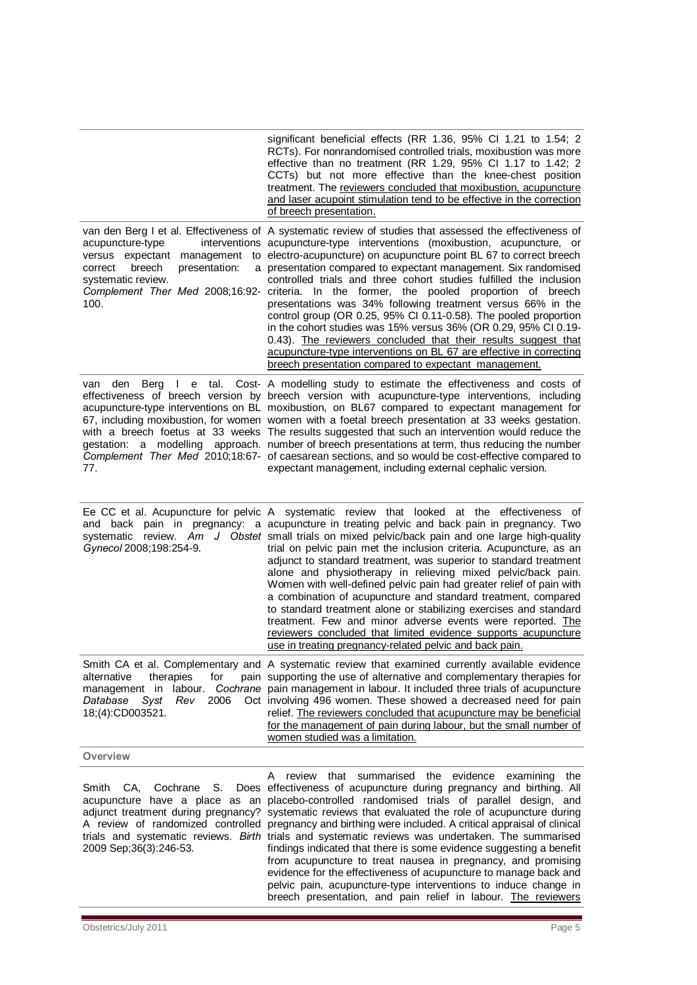|                                                                                                                        | significant beneficial effects (RR 1.36, 95% Cl 1.21 to 1.54; 2<br>RCTs). For nonrandomised controlled trials, moxibustion was more<br>effective than no treatment (RR 1.29, 95% Cl 1.17 to 1.42; 2<br>CCTs) but not more effective than the knee-chest position<br>treatment. The reviewers concluded that moxibustion, acupuncture<br>and laser acupoint stimulation tend to be effective in the correction<br>of breech presentation.                                                                                                                                                                                                                                                                                                                                                                                                                                                                            |
|------------------------------------------------------------------------------------------------------------------------|---------------------------------------------------------------------------------------------------------------------------------------------------------------------------------------------------------------------------------------------------------------------------------------------------------------------------------------------------------------------------------------------------------------------------------------------------------------------------------------------------------------------------------------------------------------------------------------------------------------------------------------------------------------------------------------------------------------------------------------------------------------------------------------------------------------------------------------------------------------------------------------------------------------------|
| acupuncture-type<br>versus expectant<br>management<br>breech<br>presentation:<br>correct<br>systematic review.<br>100. | van den Berg I et al. Effectiveness of A systematic review of studies that assessed the effectiveness of<br>interventions acupuncture-type interventions (moxibustion, acupuncture, or<br>to electro-acupuncture) on acupuncture point BL 67 to correct breech<br>a presentation compared to expectant management. Six randomised<br>controlled trials and three cohort studies fulfilled the inclusion<br>Complement Ther Med 2008;16:92- criteria. In the former, the pooled proportion of breech<br>presentations was 34% following treatment versus 66% in the<br>control group (OR 0.25, 95% CI 0.11-0.58). The pooled proportion<br>in the cohort studies was 15% versus 36% (OR 0.29, 95% CI 0.19-<br>0.43). The reviewers concluded that their results suggest that<br>acupuncture-type interventions on BL 67 are effective in correcting<br>breech presentation compared to expectant management.         |
| den<br>Berg<br>I e tal.<br>van<br>77.                                                                                  | Cost- A modelling study to estimate the effectiveness and costs of<br>effectiveness of breech version by breech version with acupuncture-type interventions, including<br>acupuncture-type interventions on BL moxibustion, on BL67 compared to expectant management for<br>67, including moxibustion, for women women with a foetal breech presentation at 33 weeks gestation.<br>with a breech foetus at 33 weeks The results suggested that such an intervention would reduce the<br>gestation: a modelling approach. number of breech presentations at term, thus reducing the number<br>Complement Ther Med 2010;18:67- of caesarean sections, and so would be cost-effective compared to<br>expectant management, including external cephalic version.                                                                                                                                                        |
| Gynecol 2008;198:254-9.                                                                                                | Ee CC et al. Acupuncture for pelvic A systematic review that looked at the effectiveness of<br>and back pain in pregnancy: a acupuncture in treating pelvic and back pain in pregnancy. Two<br>systematic review. Am J Obstet small trials on mixed pelvic/back pain and one large high-quality<br>trial on pelvic pain met the inclusion criteria. Acupuncture, as an<br>adjunct to standard treatment, was superior to standard treatment<br>alone and physiotherapy in relieving mixed pelvic/back pain.<br>Women with well-defined pelvic pain had greater relief of pain with<br>a combination of acupuncture and standard treatment, compared<br>to standard treatment alone or stabilizing exercises and standard<br>treatment. Few and minor adverse events were reported. The<br>reviewers concluded that limited evidence supports acupuncture<br>use in treating pregnancy-related pelvic and back pain. |
| therapies<br>alternative<br>for<br>management in<br>2006<br>Syst<br>Rev<br>Database<br>18;(4):CD003521.                | Smith CA et al. Complementary and A systematic review that examined currently available evidence<br>pain supporting the use of alternative and complementary therapies for<br>labour. Cochrane pain management in labour. It included three trials of acupuncture<br>Oct involving 496 women. These showed a decreased need for pain<br>relief. The reviewers concluded that acupuncture may be beneficial<br>for the management of pain during labour, but the small number of<br>women studied was a limitation.                                                                                                                                                                                                                                                                                                                                                                                                  |
| Overview                                                                                                               |                                                                                                                                                                                                                                                                                                                                                                                                                                                                                                                                                                                                                                                                                                                                                                                                                                                                                                                     |
| Smith<br>CA.<br>Cochrane<br>S.                                                                                         | review<br>that summarised<br>the<br>evidence<br>A<br>examining<br>the<br>Does effectiveness of acupuncture during pregnancy and birthing. All<br>acupuncture have a place as an placebo-controlled randomised trials of parallel design, and<br>adjunct treatment during pregnancy? systematic reviews that evaluated the role of acupuncture during                                                                                                                                                                                                                                                                                                                                                                                                                                                                                                                                                                |

A review of randomized controlled pregnancy and birthing were included. A critical appraisal of clinical trials and systematic reviews. Birth trials and systematic reviews was undertaken. The summarised findings indicated that there is some evidence suggesting a benefit from acupuncture to treat nausea in pregnancy, and promising evidence for the effectiveness of acupuncture to manage back and pelvic pain, acupuncture-type interventions to induce change in breech presentation, and pain relief in labour. The reviewers

2009 Sep;36(3):246-53.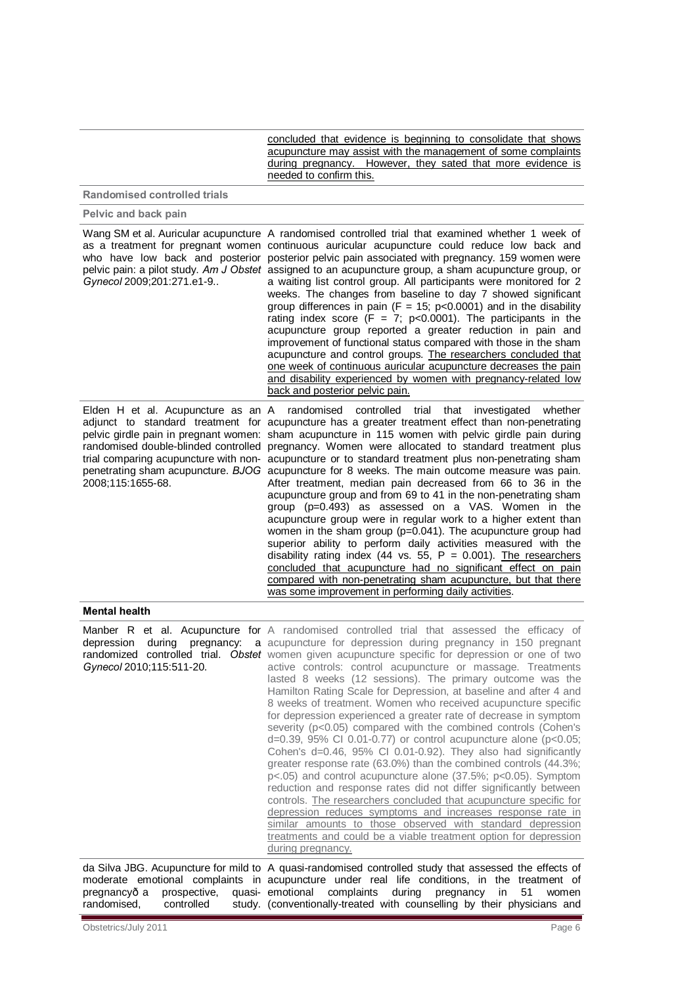concluded that evidence is beginning to consolidate that shows acupuncture may assist with the management of some complaints during pregnancy. However, they sated that more evidence is needed to confirm this.

**Randomised controlled trials**

**Pelvic and back pain**

| Gynecol 2009;201:271.e1-9 | Wang SM et al. Auricular acupuncture A randomised controlled trial that examined whether 1 week of<br>as a treatment for pregnant women continuous auricular acupuncture could reduce low back and<br>who have low back and posterior posterior pelvic pain associated with pregnancy. 159 women were<br>pelvic pain: a pilot study. Am J Obstet assigned to an acupuncture group, a sham acupuncture group, or<br>a waiting list control group. All participants were monitored for 2<br>weeks. The changes from baseline to day 7 showed significant<br>group differences in pain ( $F = 15$ ; p<0.0001) and in the disability<br>rating index score (F = 7; $p<0.0001$ ). The participants in the<br>acupuncture group reported a greater reduction in pain and<br>improvement of functional status compared with those in the sham<br>acupuncture and control groups. The researchers concluded that<br>one week of continuous auricular acupuncture decreases the pain<br>and disability experienced by women with pregnancy-related low<br>back and posterior pelvic pain.                                                                                                                                                                                               |
|---------------------------|--------------------------------------------------------------------------------------------------------------------------------------------------------------------------------------------------------------------------------------------------------------------------------------------------------------------------------------------------------------------------------------------------------------------------------------------------------------------------------------------------------------------------------------------------------------------------------------------------------------------------------------------------------------------------------------------------------------------------------------------------------------------------------------------------------------------------------------------------------------------------------------------------------------------------------------------------------------------------------------------------------------------------------------------------------------------------------------------------------------------------------------------------------------------------------------------------------------------------------------------------------------------------------|
| 2008;115:1655-68.         | Elden H et al. Acupuncture as an A randomised controlled trial that investigated whether<br>adjunct to standard treatment for acupuncture has a greater treatment effect than non-penetrating<br>pelvic girdle pain in pregnant women: sham acupuncture in 115 women with pelvic girdle pain during<br>randomised double-blinded controlled pregnancy. Women were allocated to standard treatment plus<br>trial comparing acupuncture with non- acupuncture or to standard treatment plus non-penetrating sham<br>penetrating sham acupuncture. BJOG acupuncture for 8 weeks. The main outcome measure was pain.<br>After treatment, median pain decreased from 66 to 36 in the<br>acupuncture group and from 69 to 41 in the non-penetrating sham<br>group $(p=0.493)$ as assessed on a VAS. Women in the<br>acupuncture group were in regular work to a higher extent than<br>women in the sham group (p=0.041). The acupuncture group had<br>superior ability to perform daily activities measured with the<br>disability rating index (44 vs. 55, $P = 0.001$ ). The researchers<br>concluded that acupuncture had no significant effect on pain<br>compared with non-penetrating sham acupuncture, but that there<br>was some improvement in performing daily activities. |

#### **Mental health**

| depression<br>Gynecol 2010;115:511-20. | Manber R et al. Acupuncture for A randomised controlled trial that assessed the efficacy of<br>during pregnancy: a acupuncture for depression during pregnancy in 150 pregnant<br>randomized controlled trial. Obstet women given acupuncture specific for depression or one of two<br>active controls: control acupuncture or massage. Treatments<br>lasted 8 weeks (12 sessions). The primary outcome was the<br>Hamilton Rating Scale for Depression, at baseline and after 4 and<br>8 weeks of treatment. Women who received acupuncture specific<br>for depression experienced a greater rate of decrease in symptom<br>severity (p<0.05) compared with the combined controls (Cohen's<br>$d=0.39$ , 95% CI 0.01-0.77) or control acupuncture alone (p<0.05;<br>Cohen's d=0.46, 95% CI 0.01-0.92). They also had significantly<br>greater response rate (63.0%) than the combined controls (44.3%;<br>$p<0.05$ ) and control acupuncture alone (37.5%; $p<0.05$ ). Symptom<br>reduction and response rates did not differ significantly between<br>controls. The researchers concluded that acupuncture specific for<br>depression reduces symptoms and increases response rate in<br>similar amounts to those observed with standard depression<br>treatments and could be a viable treatment option for depression<br>during pregnancy. |
|----------------------------------------|------------------------------------------------------------------------------------------------------------------------------------------------------------------------------------------------------------------------------------------------------------------------------------------------------------------------------------------------------------------------------------------------------------------------------------------------------------------------------------------------------------------------------------------------------------------------------------------------------------------------------------------------------------------------------------------------------------------------------------------------------------------------------------------------------------------------------------------------------------------------------------------------------------------------------------------------------------------------------------------------------------------------------------------------------------------------------------------------------------------------------------------------------------------------------------------------------------------------------------------------------------------------------------------------------------------------------------------------|
|                                        | da Silva JBG. Acupuncture for mild to A quasi-randomised controlled study that assessed the effects of<br>moderate emotional complaints in acupuncture under real life conditions, in the treatment of                                                                                                                                                                                                                                                                                                                                                                                                                                                                                                                                                                                                                                                                                                                                                                                                                                                                                                                                                                                                                                                                                                                                         |

pregnancy- a prospective,<br>randomised, controlled randomised, emotional complaints during pregnancy in 51 women (conventionally-treated with counselling by their physicians and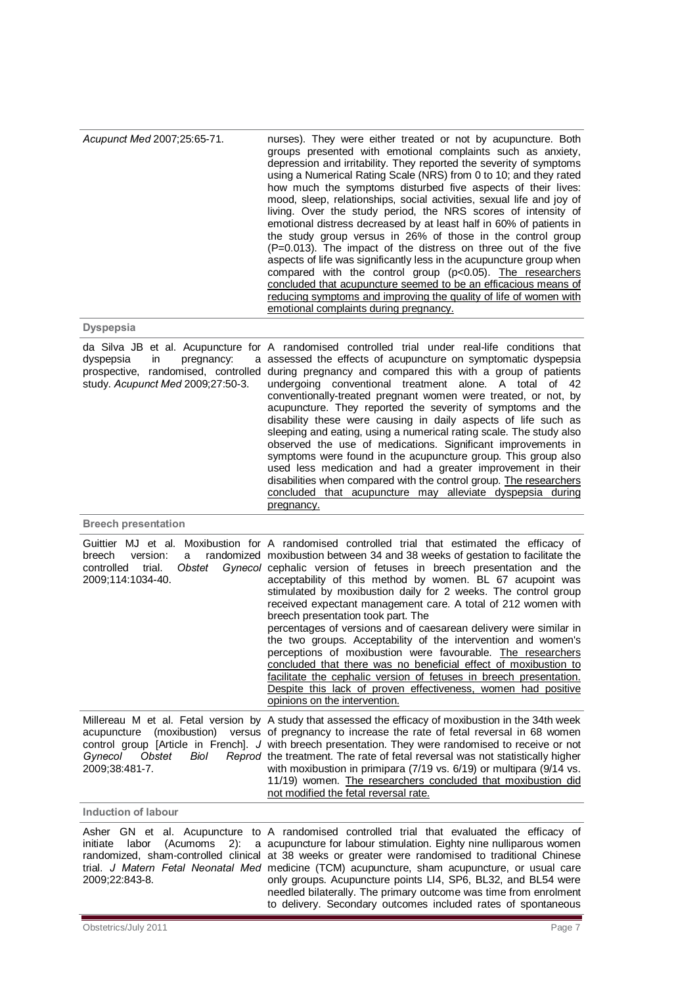| Acupunct Med 2007;25:65-71. | nurses). They were either treated or not by acupuncture. Both<br>groups presented with emotional complaints such as anxiety,<br>depression and irritability. They reported the severity of symptoms<br>using a Numerical Rating Scale (NRS) from 0 to 10; and they rated<br>how much the symptoms disturbed five aspects of their lives:<br>mood, sleep, relationships, social activities, sexual life and joy of<br>living. Over the study period, the NRS scores of intensity of<br>emotional distress decreased by at least half in 60% of patients in<br>the study group versus in 26% of those in the control group<br>(P=0.013). The impact of the distress on three out of the five<br>aspects of life was significantly less in the acupuncture group when<br>compared with the control group ( $p<0.05$ ). The researchers<br>concluded that acupuncture seemed to be an efficacious means of<br>reducing symptoms and improving the quality of life of women with<br>emotional complaints during pregnancy. |
|-----------------------------|-----------------------------------------------------------------------------------------------------------------------------------------------------------------------------------------------------------------------------------------------------------------------------------------------------------------------------------------------------------------------------------------------------------------------------------------------------------------------------------------------------------------------------------------------------------------------------------------------------------------------------------------------------------------------------------------------------------------------------------------------------------------------------------------------------------------------------------------------------------------------------------------------------------------------------------------------------------------------------------------------------------------------|
| <b>Dyspepsia</b>            |                                                                                                                                                                                                                                                                                                                                                                                                                                                                                                                                                                                                                                                                                                                                                                                                                                                                                                                                                                                                                       |

| dyspepsia<br>pregnancy:<br>in<br>study. Acupunct Med 2009;27:50-3.                                   | da Silva JB et al. Acupuncture for A randomised controlled trial under real-life conditions that<br>a assessed the effects of acupuncture on symptomatic dyspepsia<br>prospective, randomised, controlled during pregnancy and compared this with a group of patients<br>undergoing conventional treatment alone. A total<br>of<br>42<br>conventionally-treated pregnant women were treated, or not, by<br>acupuncture. They reported the severity of symptoms and the<br>disability these were causing in daily aspects of life such as<br>sleeping and eating, using a numerical rating scale. The study also<br>observed the use of medications. Significant improvements in<br>symptoms were found in the acupuncture group. This group also<br>used less medication and had a greater improvement in their<br>disabilities when compared with the control group. The researchers<br>concluded that acupuncture may alleviate dyspepsia during<br>pregnancy. |
|------------------------------------------------------------------------------------------------------|------------------------------------------------------------------------------------------------------------------------------------------------------------------------------------------------------------------------------------------------------------------------------------------------------------------------------------------------------------------------------------------------------------------------------------------------------------------------------------------------------------------------------------------------------------------------------------------------------------------------------------------------------------------------------------------------------------------------------------------------------------------------------------------------------------------------------------------------------------------------------------------------------------------------------------------------------------------|
| <b>Breech presentation</b>                                                                           |                                                                                                                                                                                                                                                                                                                                                                                                                                                                                                                                                                                                                                                                                                                                                                                                                                                                                                                                                                  |
| Guittier MJ et al.<br>breech<br>version:<br>a<br>trial.<br>Obstet<br>controlled<br>2009:114:1034-40. | Moxibustion for A randomised controlled trial that estimated the efficacy of<br>randomized moxibustion between 34 and 38 weeks of gestation to facilitate the<br>Gynecol cephalic version of fetuses in breech presentation and the<br>acceptability of this method by women. BL 67 acupoint was<br>stimulated by moxibustion daily for 2 weeks. The control group<br>received expectant management care. A total of 212 women with<br>breech presentation took part. The<br>percentages of versions and of caesarean delivery were similar in<br>the two groups. Acceptability of the intervention and women's<br>perceptions of moxibustion were favourable. The researchers<br>concluded that there was no beneficial effect of moxibustion to<br>facilitate the cephalic version of fetuses in breech presentation.<br>Despite this lack of proven effectiveness, women had positive<br>opinions on the intervention.                                        |
| acupuncture<br>(moxibustion)<br>Gynecol<br>Obstet<br>Biol<br>2009;38:481-7.                          | Millereau M et al. Fetal version by A study that assessed the efficacy of moxibustion in the 34th week<br>versus of pregnancy to increase the rate of fetal reversal in 68 women<br>control group [Article in French]. J with breech presentation. They were randomised to receive or not<br>Reprod the treatment. The rate of fetal reversal was not statistically higher<br>with moxibustion in primipara (7/19 vs. 6/19) or multipara (9/14 vs.<br>11/19) women. The researchers concluded that moxibustion did<br>not modified the fetal reversal rate.                                                                                                                                                                                                                                                                                                                                                                                                      |
| <b>Induction of labour</b>                                                                           |                                                                                                                                                                                                                                                                                                                                                                                                                                                                                                                                                                                                                                                                                                                                                                                                                                                                                                                                                                  |
|                                                                                                      | Asher GN et al. Acupuncture to A randomised controlled trial that evaluated the efficacy of                                                                                                                                                                                                                                                                                                                                                                                                                                                                                                                                                                                                                                                                                                                                                                                                                                                                      |

trial. *J Matern Fetal Neonatal Med* 2009;22:843-8.

initiate labor (Acumoms 2): a acupuncture for labour stimulation. Eighty nine nulliparous women randomized, sham-controlled clinical at 38 weeks or greater were randomised to traditional Chinese medicine (TCM) acupuncture, sham acupuncture, or usual care only groups. Acupuncture points LI4, SP6, BL32, and BL54 were needled bilaterally. The primary outcome was time from enrolment to delivery. Secondary outcomes included rates of spontaneous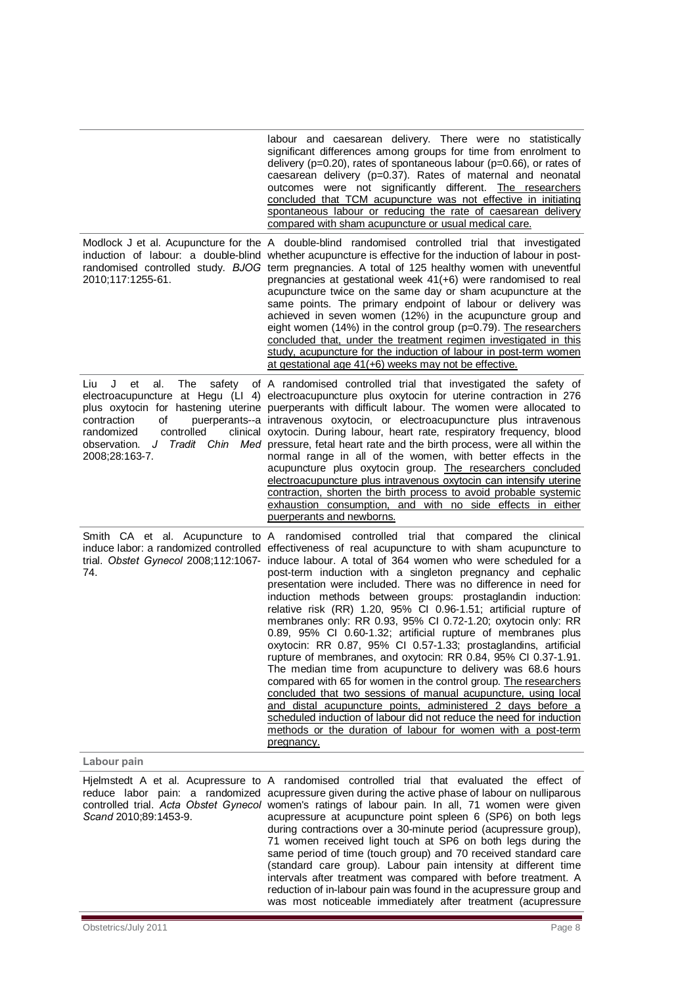|                                                                                                                           | labour and caesarean delivery. There were no statistically<br>significant differences among groups for time from enrolment to<br>delivery (p=0.20), rates of spontaneous labour (p=0.66), or rates of<br>caesarean delivery (p=0.37). Rates of maternal and neonatal<br>outcomes were not significantly different. The researchers<br>concluded that TCM acupuncture was not effective in initiating<br>spontaneous labour or reducing the rate of caesarean delivery<br>compared with sham acupuncture or usual medical care.<br>Modlock J et al. Acupuncture for the A double-blind randomised controlled trial that investigated                                                                                                                                                                                                                                                                                                                                                                                                                                                                                                                                                                                                                                   |
|---------------------------------------------------------------------------------------------------------------------------|-----------------------------------------------------------------------------------------------------------------------------------------------------------------------------------------------------------------------------------------------------------------------------------------------------------------------------------------------------------------------------------------------------------------------------------------------------------------------------------------------------------------------------------------------------------------------------------------------------------------------------------------------------------------------------------------------------------------------------------------------------------------------------------------------------------------------------------------------------------------------------------------------------------------------------------------------------------------------------------------------------------------------------------------------------------------------------------------------------------------------------------------------------------------------------------------------------------------------------------------------------------------------|
| 2010;117:1255-61.                                                                                                         | induction of labour: a double-blind whether acupuncture is effective for the induction of labour in post-<br>randomised controlled study. BJOG term pregnancies. A total of 125 healthy women with uneventful<br>pregnancies at gestational week 41(+6) were randomised to real<br>acupuncture twice on the same day or sham acupuncture at the<br>same points. The primary endpoint of labour or delivery was<br>achieved in seven women (12%) in the acupuncture group and<br>eight women (14%) in the control group ( $p=0.79$ ). The researchers<br>concluded that, under the treatment regimen investigated in this<br>study, acupuncture for the induction of labour in post-term women<br>at gestational age 41(+6) weeks may not be effective.                                                                                                                                                                                                                                                                                                                                                                                                                                                                                                                |
| J<br>al.<br>The<br>Liu<br>et<br>safety<br>contraction<br>of<br>randomized<br>controlled<br>observation.<br>2008;28:163-7. | of A randomised controlled trial that investigated the safety of<br>electroacupuncture at Hegu (LI 4) electroacupuncture plus oxytocin for uterine contraction in 276<br>plus oxytocin for hastening uterine puerperants with difficult labour. The women were allocated to<br>puerperants--a intravenous oxytocin, or electroacupuncture plus intravenous<br>clinical oxytocin. During labour, heart rate, respiratory frequency, blood<br>J Tradit Chin Med pressure, fetal heart rate and the birth process, were all within the<br>normal range in all of the women, with better effects in the<br>acupuncture plus oxytocin group. The researchers concluded<br>electroacupuncture plus intravenous oxytocin can intensify uterine<br>contraction, shorten the birth process to avoid probable systemic<br>exhaustion consumption, and with no side effects in either<br>puerperants and newborns.                                                                                                                                                                                                                                                                                                                                                               |
| 74.                                                                                                                       | Smith CA et al. Acupuncture to A randomised controlled trial that compared the clinical<br>induce labor: a randomized controlled effectiveness of real acupuncture to with sham acupuncture to<br>trial. Obstet Gynecol 2008;112:1067- induce labour. A total of 364 women who were scheduled for a<br>post-term induction with a singleton pregnancy and cephalic<br>presentation were included. There was no difference in need for<br>induction methods between groups: prostaglandin induction:<br>relative risk (RR) 1.20, 95% CI 0.96-1.51; artificial rupture of<br>membranes only: RR 0.93, 95% CI 0.72-1.20; oxytocin only: RR<br>0.89, 95% CI 0.60-1.32; artificial rupture of membranes plus<br>oxytocin: RR 0.87, 95% CI 0.57-1.33; prostaglandins, artificial<br>rupture of membranes, and oxytocin: RR 0.84, 95% CI 0.37-1.91.<br>The median time from acupuncture to delivery was 68.6 hours<br>compared with 65 for women in the control group. The researchers<br>concluded that two sessions of manual acupuncture, using local<br>and distal acupuncture points, administered 2 days before a<br>scheduled induction of labour did not reduce the need for induction<br>methods or the duration of labour for women with a post-term<br>pregnancy. |
| Labour pain                                                                                                               |                                                                                                                                                                                                                                                                                                                                                                                                                                                                                                                                                                                                                                                                                                                                                                                                                                                                                                                                                                                                                                                                                                                                                                                                                                                                       |
| Scand 2010;89:1453-9.                                                                                                     | Hjelmstedt A et al. Acupressure to A randomised controlled trial that evaluated the effect of<br>reduce labor pain: a randomized acupressure given during the active phase of labour on nulliparous<br>controlled trial. Acta Obstet Gynecol women's ratings of labour pain. In all, 71 women were given<br>acupressure at acupuncture point spleen 6 (SP6) on both legs<br>during contractions over a 30-minute period (acupressure group),<br>71 women received light touch at SP6 on both legs during the<br>same period of time (touch group) and 70 received standard care<br>(standard care group). Labour pain intensity at different time<br>intervals after treatment was compared with before treatment. A<br>reduction of in-labour pain was found in the acupressure group and<br>was most noticeable immediately after treatment (acupressure                                                                                                                                                                                                                                                                                                                                                                                                            |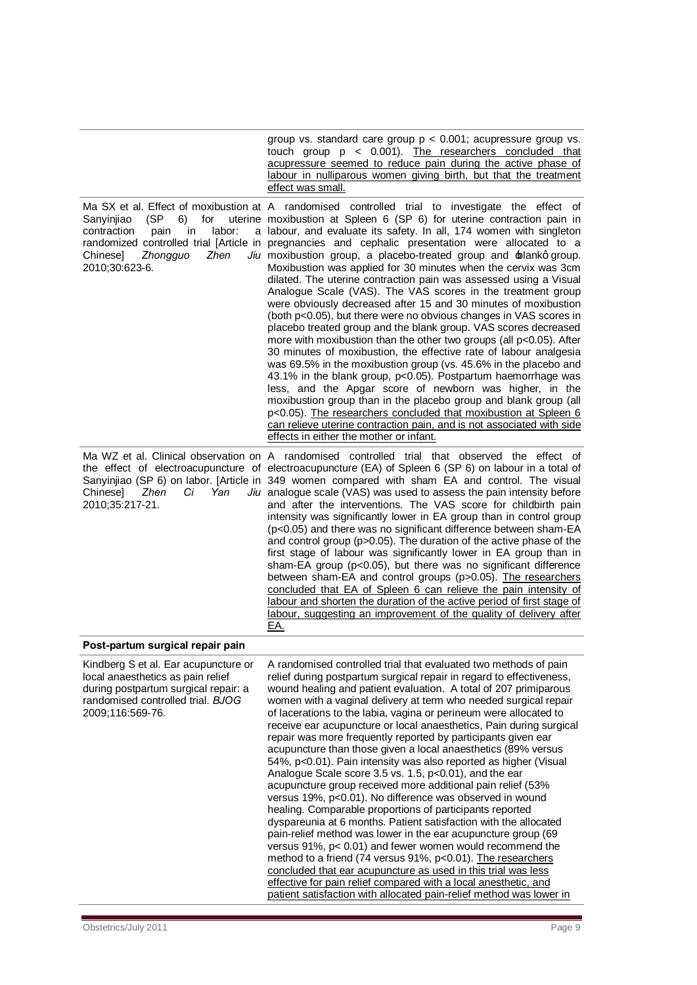|                                                                                                                                                                            | group vs. standard care group $p < 0.001$ ; acupressure group vs.<br>touch group $p \le 0.001$ ). The researchers concluded that<br>acupressure seemed to reduce pain during the active phase of<br>labour in nulliparous women giving birth, but that the treatment<br>effect was small.                                                                                                                                                                                                                                                                                                                                                                                                                                                                                                                                                                                                                                                                                                                                                                                                                                                                                                                                                                                                                                                                                                                                                          |
|----------------------------------------------------------------------------------------------------------------------------------------------------------------------------|----------------------------------------------------------------------------------------------------------------------------------------------------------------------------------------------------------------------------------------------------------------------------------------------------------------------------------------------------------------------------------------------------------------------------------------------------------------------------------------------------------------------------------------------------------------------------------------------------------------------------------------------------------------------------------------------------------------------------------------------------------------------------------------------------------------------------------------------------------------------------------------------------------------------------------------------------------------------------------------------------------------------------------------------------------------------------------------------------------------------------------------------------------------------------------------------------------------------------------------------------------------------------------------------------------------------------------------------------------------------------------------------------------------------------------------------------|
| Sanyinjiao<br>(SP<br>6)<br>for<br>contraction<br>in<br>labor:<br>pain<br>Zhen<br>Chinesel<br>Zhongguo<br>2010;30:623-6.                                                    | Ma SX et al. Effect of moxibustion at A randomised controlled trial to investigate the effect of<br>uterine moxibustion at Spleen 6 (SP 6) for uterine contraction pain in<br>a labour, and evaluate its safety. In all, 174 women with singleton<br>randomized controlled trial [Article in pregnancies and cephalic presentation were allocated to a<br>Jiu moxibustion group, a placebo-treated group and blankq group.<br>Moxibustion was applied for 30 minutes when the cervix was 3cm<br>dilated. The uterine contraction pain was assessed using a Visual<br>Analogue Scale (VAS). The VAS scores in the treatment group<br>were obviously decreased after 15 and 30 minutes of moxibustion<br>(both p<0.05), but there were no obvious changes in VAS scores in<br>placebo treated group and the blank group. VAS scores decreased<br>more with moxibustion than the other two groups (all p<0.05). After<br>30 minutes of moxibustion, the effective rate of labour analgesia<br>was 69.5% in the moxibustion group (vs. 45.6% in the placebo and<br>43.1% in the blank group, p<0.05). Postpartum haemorrhage was<br>less, and the Apgar score of newborn was higher, in the<br>moxibustion group than in the placebo group and blank group (all<br>p<0.05). The researchers concluded that moxibustion at Spleen 6<br>can relieve uterine contraction pain, and is not associated with side<br>effects in either the mother or infant. |
| <b>Chinesel</b><br>Yan<br>Zhen<br>Ci<br>2010;35:217-21.                                                                                                                    | Ma WZ et al. Clinical observation on A randomised controlled trial that observed the effect of<br>the effect of electroacupuncture of electroacupuncture (EA) of Spleen 6 (SP 6) on labour in a total of<br>Sanyinjiao (SP 6) on labor. [Article in 349 women compared with sham EA and control. The visual<br>Jiu analogue scale (VAS) was used to assess the pain intensity before<br>and after the interventions. The VAS score for childbirth pain<br>intensity was significantly lower in EA group than in control group<br>(p<0.05) and there was no significant difference between sham-EA<br>and control group (p>0.05). The duration of the active phase of the<br>first stage of labour was significantly lower in EA group than in<br>sham-EA group (p<0.05), but there was no significant difference<br>between sham-EA and control groups (p>0.05). The researchers<br>concluded that EA of Spleen 6 can relieve the pain intensity of<br>labour and shorten the duration of the active period of first stage of<br>labour, suggesting an improvement of the quality of delivery after<br>EA.                                                                                                                                                                                                                                                                                                                                         |
| Post-partum surgical repair pain                                                                                                                                           |                                                                                                                                                                                                                                                                                                                                                                                                                                                                                                                                                                                                                                                                                                                                                                                                                                                                                                                                                                                                                                                                                                                                                                                                                                                                                                                                                                                                                                                    |
| Kindberg S et al. Ear acupuncture or<br>local anaesthetics as pain relief<br>during postpartum surgical repair: a<br>randomised controlled trial. BJOG<br>2009;116:569-76. | A randomised controlled trial that evaluated two methods of pain<br>relief during postpartum surgical repair in regard to effectiveness,<br>wound healing and patient evaluation. A total of 207 primiparous<br>women with a vaginal delivery at term who needed surgical repair<br>of lacerations to the labia, vagina or perineum were allocated to<br>receive ear acupuncture or local anaesthetics, Pain during surgical<br>repair was more frequently reported by participants given ear<br>acupuncture than those given a local anaesthetics (89% versus<br>54%, p<0.01). Pain intensity was also reported as higher (Visual<br>Analogue Scale score 3.5 vs. 1.5, p<0.01), and the ear<br>acupuncture group received more additional pain relief (53%<br>versus 19%, p<0.01). No difference was observed in wound<br>healing. Comparable proportions of participants reported<br>dyspareunia at 6 months. Patient satisfaction with the allocated<br>pain-relief method was lower in the ear acupuncture group (69<br>versus 91%, p< 0.01) and fewer women would recommend the<br>method to a friend (74 versus 91%, p<0.01). The researchers                                                                                                                                                                                                                                                                                                |

concluded that ear acupuncture as used in this trial was less effective for pain relief compared with a local anesthetic, and patient satisfaction with allocated pain-relief method was lower in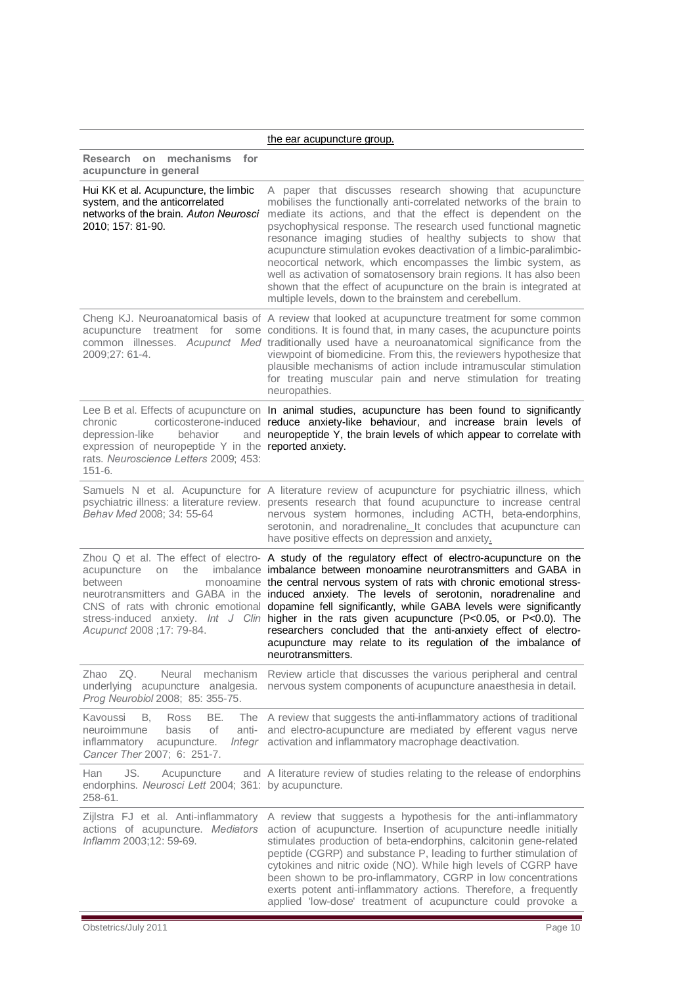|                                                                                                                                                        | the ear acupuncture group.                                                                                                                                                                                                                                                                                                                                                                                                                                                                                                                                                                                                                                                                                                      |
|--------------------------------------------------------------------------------------------------------------------------------------------------------|---------------------------------------------------------------------------------------------------------------------------------------------------------------------------------------------------------------------------------------------------------------------------------------------------------------------------------------------------------------------------------------------------------------------------------------------------------------------------------------------------------------------------------------------------------------------------------------------------------------------------------------------------------------------------------------------------------------------------------|
| Research on mechanisms<br>for<br>acupuncture in general                                                                                                |                                                                                                                                                                                                                                                                                                                                                                                                                                                                                                                                                                                                                                                                                                                                 |
| Hui KK et al. Acupuncture, the limbic<br>system, and the anticorrelated<br>networks of the brain. Auton Neurosci<br>2010; 157: 81-90.                  | A paper that discusses research showing that acupuncture<br>mobilises the functionally anti-correlated networks of the brain to<br>mediate its actions, and that the effect is dependent on the<br>psychophysical response. The research used functional magnetic<br>resonance imaging studies of healthy subjects to show that<br>acupuncture stimulation evokes deactivation of a limbic-paralimbic-<br>neocortical network, which encompasses the limbic system, as<br>well as activation of somatosensory brain regions. It has also been<br>shown that the effect of acupuncture on the brain is integrated at<br>multiple levels, down to the brainstem and cerebellum.                                                   |
| acupuncture treatment for<br>2009;27: 61-4.                                                                                                            | Cheng KJ. Neuroanatomical basis of A review that looked at acupuncture treatment for some common<br>some conditions. It is found that, in many cases, the acupuncture points<br>common illnesses. Acupunct Med traditionally used have a neuroanatomical significance from the<br>viewpoint of biomedicine. From this, the reviewers hypothesize that<br>plausible mechanisms of action include intramuscular stimulation<br>for treating muscular pain and nerve stimulation for treating<br>neuropathies.                                                                                                                                                                                                                     |
| chronic<br>depression-like<br>behavior<br>expression of neuropeptide Y in the reported anxiety.<br>rats. Neuroscience Letters 2009; 453:<br>$151 - 6.$ | Lee B et al. Effects of acupuncture on In animal studies, acupuncture has been found to significantly<br>corticosterone-induced reduce anxiety-like behaviour, and increase brain levels of<br>and neuropeptide Y, the brain levels of which appear to correlate with                                                                                                                                                                                                                                                                                                                                                                                                                                                           |
| Behav Med 2008; 34: 55-64                                                                                                                              | Samuels N et al. Acupuncture for A literature review of acupuncture for psychiatric illness, which<br>psychiatric illness: a literature review. presents research that found acupuncture to increase central<br>nervous system hormones, including ACTH, beta-endorphins,<br>serotonin, and noradrenaline. It concludes that acupuncture can<br>have positive effects on depression and anxiety.                                                                                                                                                                                                                                                                                                                                |
| acupuncture<br>the<br>on<br>between<br>Acupunct 2008 ;17: 79-84.                                                                                       | Zhou $Q$ et al. The effect of electro- A study of the regulatory effect of electro-acupuncture on the<br>imbalance imbalance between monoamine neurotransmitters and GABA in<br>monoamine the central nervous system of rats with chronic emotional stress-<br>neurotransmitters and GABA in the induced anxiety. The levels of serotonin, noradrenaline and<br>CNS of rats with chronic emotional dopamine fell significantly, while GABA levels were significantly<br>stress-induced anxiety. Int J Clin higher in the rats given acupuncture (P<0.05, or P<0.0). The<br>researchers concluded that the anti-anxiety effect of electro-<br>acupuncture may relate to its regulation of the imbalance of<br>neurotransmitters. |
| Zhao ZQ.<br>Neural<br>mechanism<br>underlying acupuncture analgesia.<br>Prog Neurobiol 2008; 85: 355-75.                                               | Review article that discusses the various peripheral and central<br>nervous system components of acupuncture anaesthesia in detail.                                                                                                                                                                                                                                                                                                                                                                                                                                                                                                                                                                                             |
| Kavoussi<br>В.<br>Ross<br>BE.<br>neuroimmune<br>of<br>basis<br>anti-<br>inflammatory<br>acupuncture.<br>Integr<br>Cancer Ther 2007; 6: 251-7.          | The A review that suggests the anti-inflammatory actions of traditional<br>and electro-acupuncture are mediated by efferent vagus nerve<br>activation and inflammatory macrophage deactivation.                                                                                                                                                                                                                                                                                                                                                                                                                                                                                                                                 |
| JS.<br>Han<br>Acupuncture<br>endorphins. Neurosci Lett 2004; 361: by acupuncture.<br>258-61.                                                           | and A literature review of studies relating to the release of endorphins                                                                                                                                                                                                                                                                                                                                                                                                                                                                                                                                                                                                                                                        |
| Zijlstra FJ et al. Anti-inflammatory<br>actions of acupuncture. Mediators<br>Inflamm 2003;12: 59-69.                                                   | A review that suggests a hypothesis for the anti-inflammatory<br>action of acupuncture. Insertion of acupuncture needle initially<br>stimulates production of beta-endorphins, calcitonin gene-related<br>peptide (CGRP) and substance P, leading to further stimulation of<br>cytokines and nitric oxide (NO). While high levels of CGRP have<br>been shown to be pro-inflammatory, CGRP in low concentrations<br>exerts potent anti-inflammatory actions. Therefore, a frequently<br>applied 'low-dose' treatment of acupuncture could provoke a                                                                                                                                                                              |